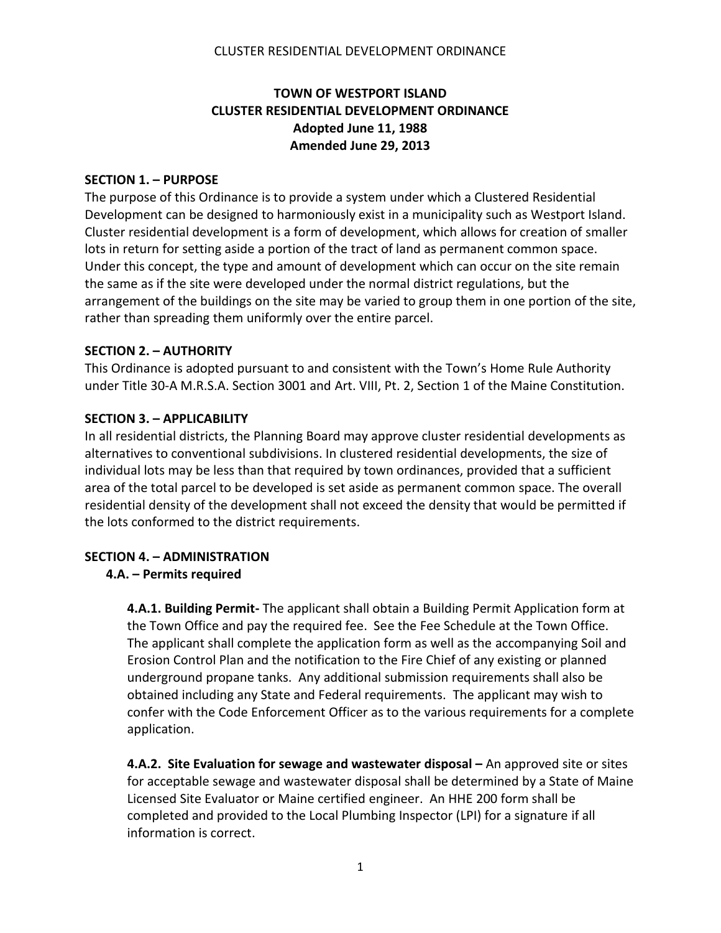## CLUSTER RESIDENTIAL DEVELOPMENT ORDINANCE

## **TOWN OF WESTPORT ISLAND CLUSTER RESIDENTIAL DEVELOPMENT ORDINANCE Adopted June 11, 1988 Amended June 29, 2013**

#### **SECTION 1. – PURPOSE**

The purpose of this Ordinance is to provide a system under which a Clustered Residential Development can be designed to harmoniously exist in a municipality such as Westport Island. Cluster residential development is a form of development, which allows for creation of smaller lots in return for setting aside a portion of the tract of land as permanent common space. Under this concept, the type and amount of development which can occur on the site remain the same as if the site were developed under the normal district regulations, but the arrangement of the buildings on the site may be varied to group them in one portion of the site, rather than spreading them uniformly over the entire parcel.

#### **SECTION 2. – AUTHORITY**

This Ordinance is adopted pursuant to and consistent with the Town's Home Rule Authority under Title 30-A M.R.S.A. Section 3001 and Art. VIII, Pt. 2, Section 1 of the Maine Constitution.

### **SECTION 3. – APPLICABILITY**

In all residential districts, the Planning Board may approve cluster residential developments as alternatives to conventional subdivisions. In clustered residential developments, the size of individual lots may be less than that required by town ordinances, provided that a sufficient area of the total parcel to be developed is set aside as permanent common space. The overall residential density of the development shall not exceed the density that would be permitted if the lots conformed to the district requirements.

### **SECTION 4. – ADMINISTRATION**

### **4.A. – Permits required**

**4.A.1. Building Permit-** The applicant shall obtain a Building Permit Application form at the Town Office and pay the required fee. See the Fee Schedule at the Town Office. The applicant shall complete the application form as well as the accompanying Soil and Erosion Control Plan and the notification to the Fire Chief of any existing or planned underground propane tanks. Any additional submission requirements shall also be obtained including any State and Federal requirements. The applicant may wish to confer with the Code Enforcement Officer as to the various requirements for a complete application.

**4.A.2. Site Evaluation for sewage and wastewater disposal –** An approved site or sites for acceptable sewage and wastewater disposal shall be determined by a State of Maine Licensed Site Evaluator or Maine certified engineer. An HHE 200 form shall be completed and provided to the Local Plumbing Inspector (LPI) for a signature if all information is correct.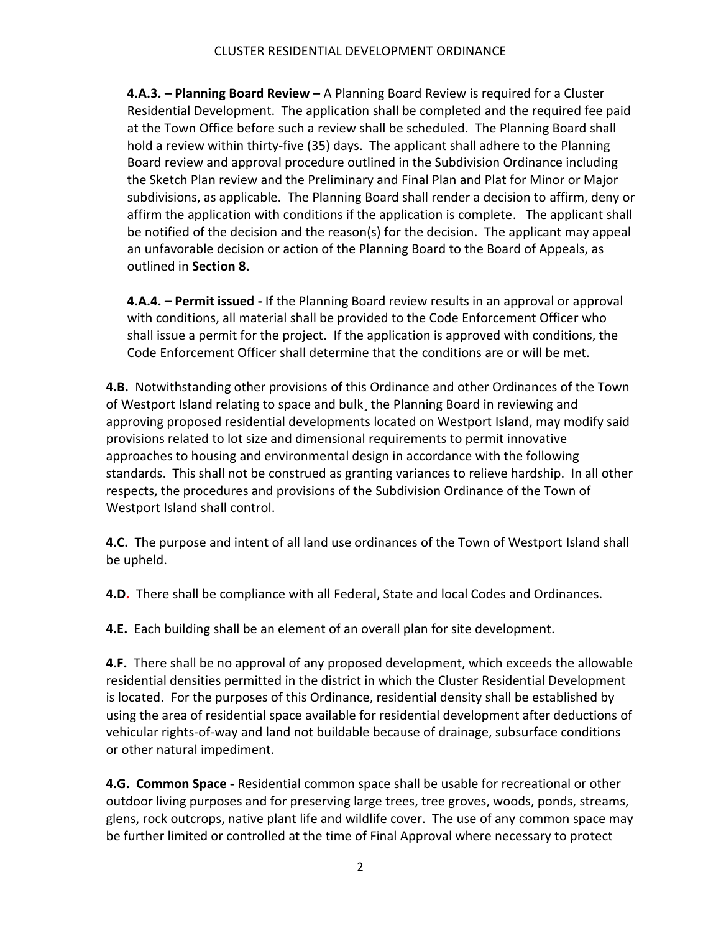**4.A.3. – Planning Board Review –** A Planning Board Review is required for a Cluster Residential Development. The application shall be completed and the required fee paid at the Town Office before such a review shall be scheduled. The Planning Board shall hold a review within thirty-five (35) days. The applicant shall adhere to the Planning Board review and approval procedure outlined in the Subdivision Ordinance including the Sketch Plan review and the Preliminary and Final Plan and Plat for Minor or Major subdivisions, as applicable. The Planning Board shall render a decision to affirm, deny or affirm the application with conditions if the application is complete. The applicant shall be notified of the decision and the reason(s) for the decision. The applicant may appeal an unfavorable decision or action of the Planning Board to the Board of Appeals, as outlined in **Section 8.**

**4.A.4. – Permit issued -** If the Planning Board review results in an approval or approval with conditions, all material shall be provided to the Code Enforcement Officer who shall issue a permit for the project. If the application is approved with conditions, the Code Enforcement Officer shall determine that the conditions are or will be met.

**4.B.** Notwithstanding other provisions of this Ordinance and other Ordinances of the Town of Westport Island relating to space and bulk¸ the Planning Board in reviewing and approving proposed residential developments located on Westport Island, may modify said provisions related to lot size and dimensional requirements to permit innovative approaches to housing and environmental design in accordance with the following standards. This shall not be construed as granting variances to relieve hardship. In all other respects, the procedures and provisions of the Subdivision Ordinance of the Town of Westport Island shall control.

**4.C.** The purpose and intent of all land use ordinances of the Town of Westport Island shall be upheld.

**4.D.** There shall be compliance with all Federal, State and local Codes and Ordinances.

**4.E.** Each building shall be an element of an overall plan for site development.

**4.F.** There shall be no approval of any proposed development, which exceeds the allowable residential densities permitted in the district in which the Cluster Residential Development is located. For the purposes of this Ordinance, residential density shall be established by using the area of residential space available for residential development after deductions of vehicular rights-of-way and land not buildable because of drainage, subsurface conditions or other natural impediment.

**4.G. Common Space -** Residential common space shall be usable for recreational or other outdoor living purposes and for preserving large trees, tree groves, woods, ponds, streams, glens, rock outcrops, native plant life and wildlife cover. The use of any common space may be further limited or controlled at the time of Final Approval where necessary to protect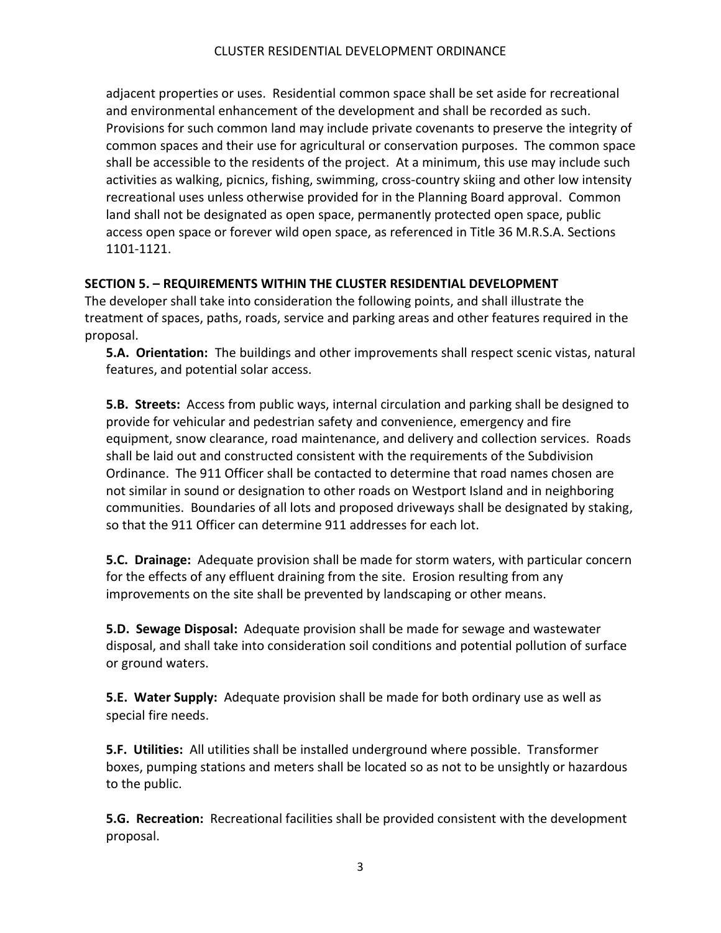adjacent properties or uses. Residential common space shall be set aside for recreational and environmental enhancement of the development and shall be recorded as such. Provisions for such common land may include private covenants to preserve the integrity of common spaces and their use for agricultural or conservation purposes. The common space shall be accessible to the residents of the project. At a minimum, this use may include such activities as walking, picnics, fishing, swimming, cross-country skiing and other low intensity recreational uses unless otherwise provided for in the Planning Board approval. Common land shall not be designated as open space, permanently protected open space, public access open space or forever wild open space, as referenced in Title 36 M.R.S.A. Sections 1101-1121.

# **SECTION 5. – REQUIREMENTS WITHIN THE CLUSTER RESIDENTIAL DEVELOPMENT**

The developer shall take into consideration the following points, and shall illustrate the treatment of spaces, paths, roads, service and parking areas and other features required in the proposal.

**5.A. Orientation:** The buildings and other improvements shall respect scenic vistas, natural features, and potential solar access.

**5.B. Streets:** Access from public ways, internal circulation and parking shall be designed to provide for vehicular and pedestrian safety and convenience, emergency and fire equipment, snow clearance, road maintenance, and delivery and collection services. Roads shall be laid out and constructed consistent with the requirements of the Subdivision Ordinance. The 911 Officer shall be contacted to determine that road names chosen are not similar in sound or designation to other roads on Westport Island and in neighboring communities. Boundaries of all lots and proposed driveways shall be designated by staking, so that the 911 Officer can determine 911 addresses for each lot.

**5.C. Drainage:** Adequate provision shall be made for storm waters, with particular concern for the effects of any effluent draining from the site. Erosion resulting from any improvements on the site shall be prevented by landscaping or other means.

**5.D. Sewage Disposal:** Adequate provision shall be made for sewage and wastewater disposal, and shall take into consideration soil conditions and potential pollution of surface or ground waters.

**5.E. Water Supply:** Adequate provision shall be made for both ordinary use as well as special fire needs.

**5.F. Utilities:** All utilities shall be installed underground where possible. Transformer boxes, pumping stations and meters shall be located so as not to be unsightly or hazardous to the public.

**5.G. Recreation:** Recreational facilities shall be provided consistent with the development proposal.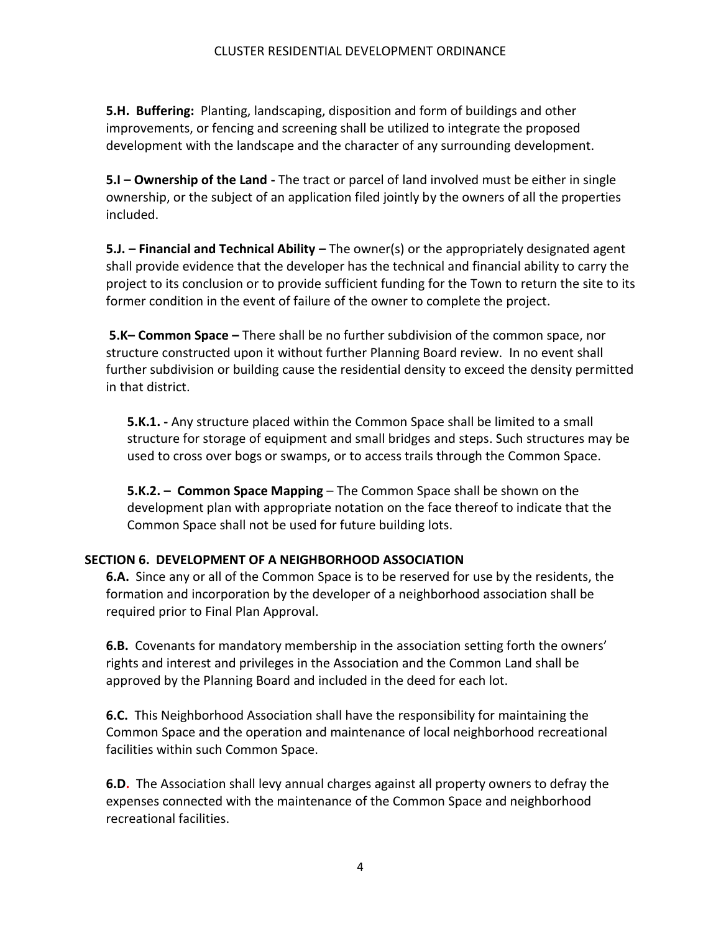**5.H. Buffering:** Planting, landscaping, disposition and form of buildings and other improvements, or fencing and screening shall be utilized to integrate the proposed development with the landscape and the character of any surrounding development.

**5.I – Ownership of the Land -** The tract or parcel of land involved must be either in single ownership, or the subject of an application filed jointly by the owners of all the properties included.

**5.J. – Financial and Technical Ability –** The owner(s) or the appropriately designated agent shall provide evidence that the developer has the technical and financial ability to carry the project to its conclusion or to provide sufficient funding for the Town to return the site to its former condition in the event of failure of the owner to complete the project.

**5.K– Common Space –** There shall be no further subdivision of the common space, nor structure constructed upon it without further Planning Board review. In no event shall further subdivision or building cause the residential density to exceed the density permitted in that district.

**5.K.1. -** Any structure placed within the Common Space shall be limited to a small structure for storage of equipment and small bridges and steps. Such structures may be used to cross over bogs or swamps, or to access trails through the Common Space.

**5.K.2. – Common Space Mapping** – The Common Space shall be shown on the development plan with appropriate notation on the face thereof to indicate that the Common Space shall not be used for future building lots.

# **SECTION 6. DEVELOPMENT OF A NEIGHBORHOOD ASSOCIATION**

**6.A.** Since any or all of the Common Space is to be reserved for use by the residents, the formation and incorporation by the developer of a neighborhood association shall be required prior to Final Plan Approval.

**6.B.** Covenants for mandatory membership in the association setting forth the owners' rights and interest and privileges in the Association and the Common Land shall be approved by the Planning Board and included in the deed for each lot.

**6.C.** This Neighborhood Association shall have the responsibility for maintaining the Common Space and the operation and maintenance of local neighborhood recreational facilities within such Common Space.

**6.D.** The Association shall levy annual charges against all property owners to defray the expenses connected with the maintenance of the Common Space and neighborhood recreational facilities.